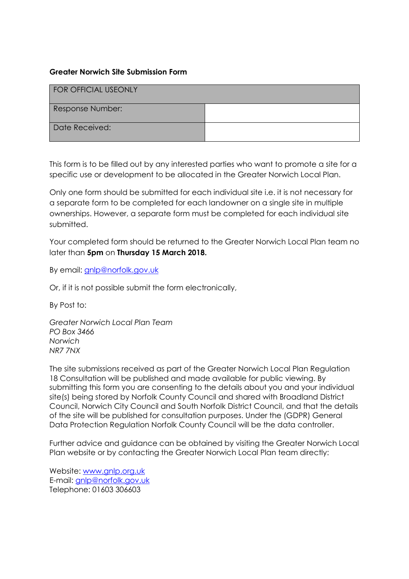### **Greater Norwich Site Submission Form**

| <b>FOR OFFICIAL USEONLY</b> |  |
|-----------------------------|--|
| Response Number:            |  |
| Date Received:              |  |

This form is to be filled out by any interested parties who want to promote a site for a specific use or development to be allocated in the Greater Norwich Local Plan.

Only one form should be submitted for each individual site i.e. it is not necessary for a separate form to be completed for each landowner on a single site in multiple ownerships. However, a separate form must be completed for each individual site submitted.

Your completed form should be returned to the Greater Norwich Local Plan team no later than **5pm** on **Thursday 15 March 2018.**

By email: [gnlp@norfolk.gov.uk](mailto:gnlp@norfolk.gov.uk)

Or, if it is not possible submit the form electronically,

By Post to:

*Greater Norwich Local Plan Team PO Box 3466 Norwich NR7 7NX*

The site submissions received as part of the Greater Norwich Local Plan Regulation 18 Consultation will be published and made available for public viewing. By submitting this form you are consenting to the details about you and your individual site(s) being stored by Norfolk County Council and shared with Broadland District Council, Norwich City Council and South Norfolk District Council, and that the details of the site will be published for consultation purposes. Under the (GDPR) General Data Protection Regulation Norfolk County Council will be the data controller.

Further advice and guidance can be obtained by visiting the Greater Norwich Local Plan website or by contacting the Greater Norwich Local Plan team directly:

Website: [www.gnlp.org.uk](http://www.gnlp.org.uk/)  E-mail: [gnlp@norfolk.gov.uk](mailto:gnlp@norfolk.gov.uk) Telephone: 01603 306603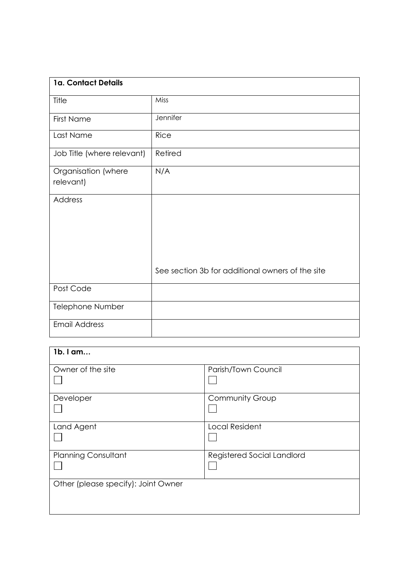| 1a. Contact Details              |                                                  |
|----------------------------------|--------------------------------------------------|
| Title                            | Miss                                             |
| <b>First Name</b>                | Jennifer                                         |
| Last Name                        | <b>Rice</b>                                      |
| Job Title (where relevant)       | Retired                                          |
| Organisation (where<br>relevant) | N/A                                              |
| Address                          |                                                  |
|                                  | See section 3b for additional owners of the site |
| Post Code                        |                                                  |
| Telephone Number                 |                                                  |
| <b>Email Address</b>             |                                                  |

| 1b. I am                            |                            |
|-------------------------------------|----------------------------|
| Owner of the site                   | Parish/Town Council        |
| Developer                           | <b>Community Group</b>     |
| Land Agent                          | <b>Local Resident</b>      |
| <b>Planning Consultant</b>          | Registered Social Landlord |
| Other (please specify): Joint Owner |                            |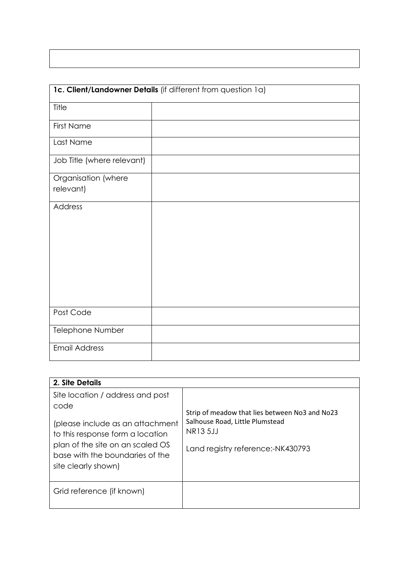|                                  | 1c. Client/Landowner Details (if different from question 1a) |
|----------------------------------|--------------------------------------------------------------|
| Title                            |                                                              |
| <b>First Name</b>                |                                                              |
| Last Name                        |                                                              |
| Job Title (where relevant)       |                                                              |
| Organisation (where<br>relevant) |                                                              |
| Address                          |                                                              |
| Post Code                        |                                                              |
| Telephone Number                 |                                                              |
| <b>Email Address</b>             |                                                              |

| 2. Site Details                                                                                                                                                                                                |                                                                                                                                    |
|----------------------------------------------------------------------------------------------------------------------------------------------------------------------------------------------------------------|------------------------------------------------------------------------------------------------------------------------------------|
| Site location / address and post<br>code<br>(please include as an attachment<br>to this response form a location<br>plan of the site on an scaled OS<br>base with the boundaries of the<br>site clearly shown) | Strip of meadow that lies between No3 and No23<br>Salhouse Road, Little Plumstead<br>NR13 5JJ<br>Land registry reference:-NK430793 |
| Grid reference (if known)                                                                                                                                                                                      |                                                                                                                                    |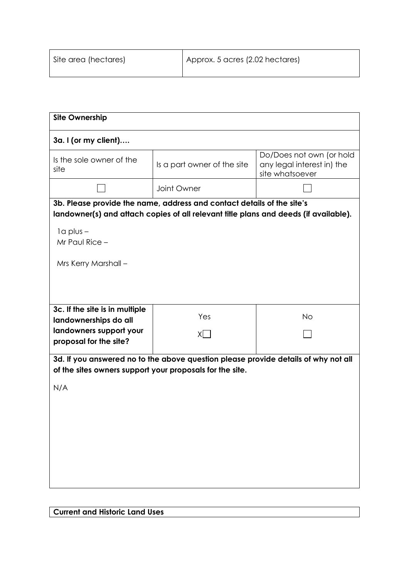| <b>Site Ownership</b>                                                                                                                          |                                                                                                                                                                |                                                                           |  |  |  |
|------------------------------------------------------------------------------------------------------------------------------------------------|----------------------------------------------------------------------------------------------------------------------------------------------------------------|---------------------------------------------------------------------------|--|--|--|
| 3a. I (or my client)                                                                                                                           |                                                                                                                                                                |                                                                           |  |  |  |
| Is the sole owner of the<br>site                                                                                                               | Is a part owner of the site                                                                                                                                    | Do/Does not own (or hold<br>any legal interest in) the<br>site whatsoever |  |  |  |
|                                                                                                                                                | Joint Owner                                                                                                                                                    |                                                                           |  |  |  |
|                                                                                                                                                | 3b. Please provide the name, address and contact details of the site's<br>landowner(s) and attach copies of all relevant title plans and deeds (if available). |                                                                           |  |  |  |
| $1a$ plus $-$<br>Mr Paul Rice -                                                                                                                |                                                                                                                                                                |                                                                           |  |  |  |
| Mrs Kerry Marshall -                                                                                                                           |                                                                                                                                                                |                                                                           |  |  |  |
|                                                                                                                                                |                                                                                                                                                                |                                                                           |  |  |  |
| 3c. If the site is in multiple<br>landownerships do all                                                                                        | Yes                                                                                                                                                            | <b>No</b>                                                                 |  |  |  |
| landowners support your<br>proposal for the site?                                                                                              | X                                                                                                                                                              |                                                                           |  |  |  |
| 3d. If you answered no to the above question please provide details of why not all<br>of the sites owners support your proposals for the site. |                                                                                                                                                                |                                                                           |  |  |  |
| N/A                                                                                                                                            |                                                                                                                                                                |                                                                           |  |  |  |
|                                                                                                                                                |                                                                                                                                                                |                                                                           |  |  |  |
|                                                                                                                                                |                                                                                                                                                                |                                                                           |  |  |  |
|                                                                                                                                                |                                                                                                                                                                |                                                                           |  |  |  |
|                                                                                                                                                |                                                                                                                                                                |                                                                           |  |  |  |
|                                                                                                                                                |                                                                                                                                                                |                                                                           |  |  |  |

**Current and Historic Land Uses**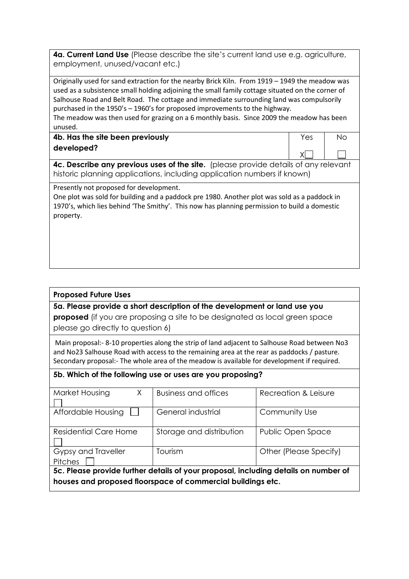**4a. Current Land Use** (Please describe the site's current land use e.g. agriculture, employment, unused/vacant etc.)

Originally used for sand extraction for the nearby Brick Kiln. From 1919 – 1949 the meadow was used as a subsistence small holding adjoining the small family cottage situated on the corner of Salhouse Road and Belt Road. The cottage and immediate surrounding land was compulsorily purchased in the 1950's – 1960's for proposed improvements to the highway.

The meadow was then used for grazing on a 6 monthly basis. Since 2009 the meadow has been unused.

**4b. Has the site been previously developed?**

No

Yes

 $X$ 

**4c. Describe any previous uses of the site.** (please provide details of any relevant historic planning applications, including application numbers if known)

Presently not proposed for development.

One plot was sold for building and a paddock pre 1980. Another plot was sold as a paddock in 1970's, which lies behind 'The Smithy'. This now has planning permission to build a domestic property.

## **Proposed Future Uses**

## **5a. Please provide a short description of the development or land use you**

**proposed** (if you are proposing a site to be designated as local green space please go directly to question 6)

Main proposal:- 8-10 properties along the strip of land adjacent to Salhouse Road between No3 and No23 Salhouse Road with access to the remaining area at the rear as paddocks / pasture. Secondary proposal:- The whole area of the meadow is available for development if required.

#### **5b. Which of the following use or uses are you proposing?**

| Market Housing<br>$\times$                                                          | <b>Business and offices</b> | Recreation & Leisure   |  |
|-------------------------------------------------------------------------------------|-----------------------------|------------------------|--|
|                                                                                     |                             |                        |  |
| Affordable Housing                                                                  | General industrial          | Community Use          |  |
|                                                                                     |                             |                        |  |
| Residential Care Home                                                               | Storage and distribution    | Public Open Space      |  |
|                                                                                     |                             |                        |  |
| Gypsy and Traveller                                                                 | Tourism                     | Other (Please Specify) |  |
| <b>Pitches</b>                                                                      |                             |                        |  |
| 5c. Please provide further details of your proposal, including details on number of |                             |                        |  |
| houses and proposed floorspace of commercial buildings etc.                         |                             |                        |  |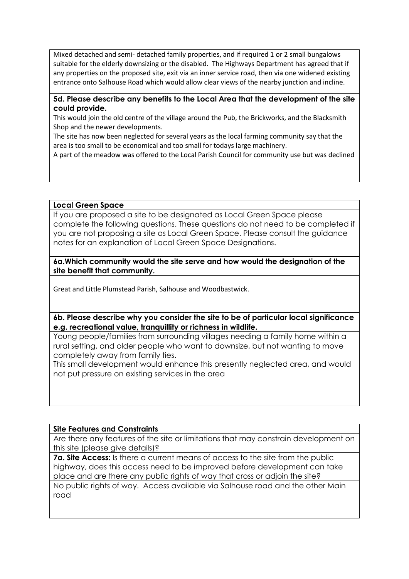Mixed detached and semi- detached family properties, and if required 1 or 2 small bungalows suitable for the elderly downsizing or the disabled. The Highways Department has agreed that if any properties on the proposed site, exit via an inner service road, then via one widened existing entrance onto Salhouse Road which would allow clear views of the nearby junction and incline.

### **5d. Please describe any benefits to the Local Area that the development of the site could provide.**

This would join the old centre of the village around the Pub, the Brickworks, and the Blacksmith Shop and the newer developments.

The site has now been neglected for several years as the local farming community say that the area is too small to be economical and too small for todays large machinery.

A part of the meadow was offered to the Local Parish Council for community use but was declined

**Local Green Space** 

If you are proposed a site to be designated as Local Green Space please complete the following questions. These questions do not need to be completed if you are not proposing a site as Local Green Space. Please consult the guidance notes for an explanation of Local Green Space Designations.

#### **6a.Which community would the site serve and how would the designation of the site benefit that community.**

Great and Little Plumstead Parish, Salhouse and Woodbastwick.

**6b. Please describe why you consider the site to be of particular local significance e.g. recreational value, tranquillity or richness in wildlife.** 

Young people/families from surrounding villages needing a family home within a rural setting, and older people who want to downsize, but not wanting to move completely away from family ties.

This small development would enhance this presently neglected area, and would not put pressure on existing services in the area

## **Site Features and Constraints**

Are there any features of the site or limitations that may constrain development on this site (please give details)?

**7a. Site Access:** Is there a current means of access to the site from the public highway, does this access need to be improved before development can take place and are there any public rights of way that cross or adjoin the site? No public rights of way. Access available via Salhouse road and the other Main road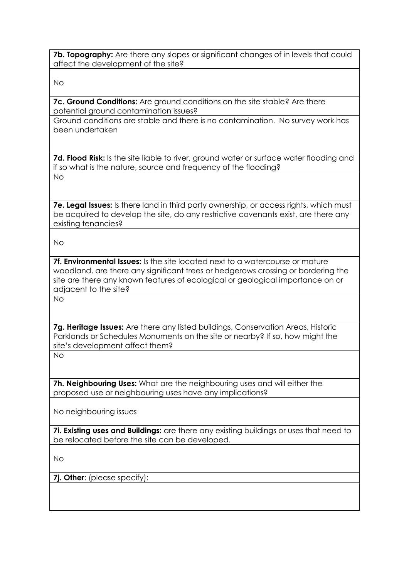**7b. Topography:** Are there any slopes or significant changes of in levels that could affect the development of the site?

No

**7c. Ground Conditions:** Are ground conditions on the site stable? Are there potential ground contamination issues?

Ground conditions are stable and there is no contamination. No survey work has been undertaken

**7d. Flood Risk:** Is the site liable to river, ground water or surface water flooding and if so what is the nature, source and frequency of the flooding?

No

**7e. Legal Issues:** Is there land in third party ownership, or access rights, which must be acquired to develop the site, do any restrictive covenants exist, are there any existing tenancies?

No

**7f. Environmental Issues:** Is the site located next to a watercourse or mature woodland, are there any significant trees or hedgerows crossing or bordering the site are there any known features of ecological or geological importance on or adiacent to the site?

No

**7g. Heritage Issues:** Are there any listed buildings, Conservation Areas, Historic Parklands or Schedules Monuments on the site or nearby? If so, how might the site's development affect them?

No

**7h. Neighbouring Uses:** What are the neighbouring uses and will either the proposed use or neighbouring uses have any implications?

No neighbouring issues

**7i. Existing uses and Buildings:** are there any existing buildings or uses that need to be relocated before the site can be developed.

No

**7j. Other**: (please specify):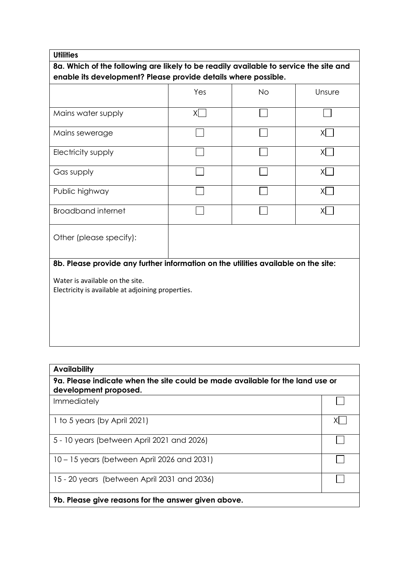# **Utilities**

**8a. Which of the following are likely to be readily available to service the site and enable its development? Please provide details where possible.**

| X                                                                                    |  |     |  |  |
|--------------------------------------------------------------------------------------|--|-----|--|--|
|                                                                                      |  | XI. |  |  |
|                                                                                      |  | XL  |  |  |
|                                                                                      |  | ΧI  |  |  |
|                                                                                      |  | XI  |  |  |
|                                                                                      |  | XI. |  |  |
| Other (please specify):                                                              |  |     |  |  |
| 8b. Please provide any further information on the utilities available on the site:   |  |     |  |  |
| Water is available on the site.<br>Electricity is available at adjoining properties. |  |     |  |  |
|                                                                                      |  |     |  |  |

| <b>Availability</b>                                                                                    |  |  |  |
|--------------------------------------------------------------------------------------------------------|--|--|--|
| 9a. Please indicate when the site could be made available for the land use or<br>development proposed. |  |  |  |
| Immediately                                                                                            |  |  |  |
| 1 to 5 years (by April 2021)                                                                           |  |  |  |
| 5 - 10 years (between April 2021 and 2026)                                                             |  |  |  |
| 10 – 15 years (between April 2026 and 2031)                                                            |  |  |  |
| 15 - 20 years (between April 2031 and 2036)                                                            |  |  |  |
| 9b. Please give reasons for the answer given above.                                                    |  |  |  |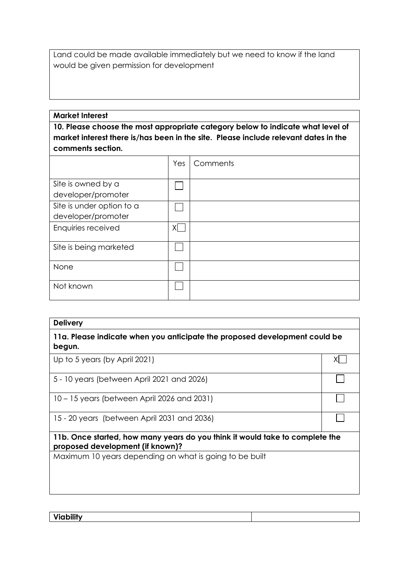Land could be made available immediately but we need to know if the land would be given permission for development

# **Market Interest**

**10. Please choose the most appropriate category below to indicate what level of market interest there is/has been in the site. Please include relevant dates in the comments section.**

|                           | Yes | Comments |
|---------------------------|-----|----------|
|                           |     |          |
| Site is owned by a        |     |          |
| developer/promoter        |     |          |
| Site is under option to a |     |          |
| developer/promoter        |     |          |
| Enquiries received        | ΧI  |          |
| Site is being marketed    |     |          |
| None                      |     |          |
| Not known                 |     |          |

| <b>Delivery</b>                                                                                                  |    |  |
|------------------------------------------------------------------------------------------------------------------|----|--|
| 11a. Please indicate when you anticipate the proposed development could be<br>begun.                             |    |  |
| Up to 5 years (by April 2021)                                                                                    | χı |  |
| 5 - 10 years (between April 2021 and 2026)                                                                       |    |  |
| 10 – 15 years (between April 2026 and 2031)                                                                      |    |  |
| 15 - 20 years (between April 2031 and 2036)                                                                      |    |  |
| 11b. Once started, how many years do you think it would take to complete the<br>proposed development (if known)? |    |  |
| Maximum 10 years depending on what is going to be built                                                          |    |  |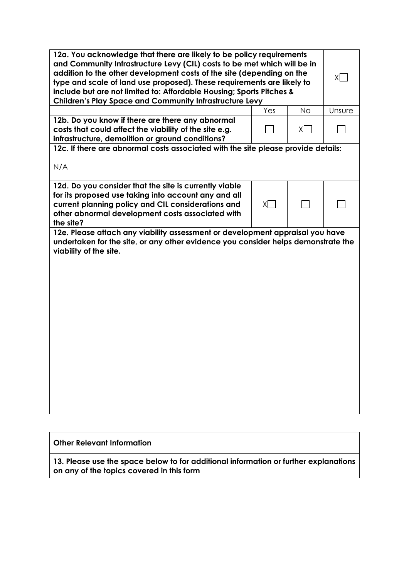| 12a. You acknowledge that there are likely to be policy requirements<br>and Community Infrastructure Levy (CIL) costs to be met which will be in<br>addition to the other development costs of the site (depending on the<br>type and scale of land use proposed). These requirements are likely to<br>include but are not limited to: Affordable Housing; Sports Pitches &<br><b>Children's Play Space and Community Infrastructure Levy</b> |     |           | XI.    |
|-----------------------------------------------------------------------------------------------------------------------------------------------------------------------------------------------------------------------------------------------------------------------------------------------------------------------------------------------------------------------------------------------------------------------------------------------|-----|-----------|--------|
|                                                                                                                                                                                                                                                                                                                                                                                                                                               | Yes | <b>No</b> | Unsure |
| 12b. Do you know if there are there any abnormal<br>costs that could affect the viability of the site e.g.<br>infrastructure, demolition or ground conditions?                                                                                                                                                                                                                                                                                |     | X         |        |
| 12c. If there are abnormal costs associated with the site please provide details:                                                                                                                                                                                                                                                                                                                                                             |     |           |        |
| N/A                                                                                                                                                                                                                                                                                                                                                                                                                                           |     |           |        |
| 12d. Do you consider that the site is currently viable<br>for its proposed use taking into account any and all<br>current planning policy and CIL considerations and<br>other abnormal development costs associated with<br>the site?                                                                                                                                                                                                         | XI. |           |        |
| 12e. Please attach any viability assessment or development appraisal you have<br>undertaken for the site, or any other evidence you consider helps demonstrate the<br>viability of the site.                                                                                                                                                                                                                                                  |     |           |        |

**Other Relevant Information**

**13. Please use the space below to for additional information or further explanations on any of the topics covered in this form**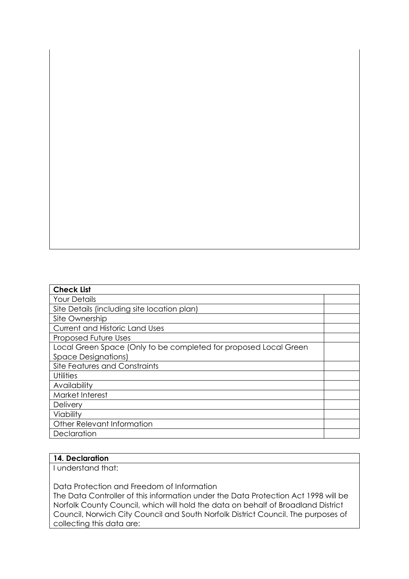| <b>Check List</b>                                                |  |  |
|------------------------------------------------------------------|--|--|
| <b>Your Details</b>                                              |  |  |
| Site Details (including site location plan)                      |  |  |
| Site Ownership                                                   |  |  |
| <b>Current and Historic Land Uses</b>                            |  |  |
| <b>Proposed Future Uses</b>                                      |  |  |
| Local Green Space (Only to be completed for proposed Local Green |  |  |
| <b>Space Designations)</b>                                       |  |  |
| Site Features and Constraints                                    |  |  |
| Utilities                                                        |  |  |
| Availability                                                     |  |  |
| Market Interest                                                  |  |  |
| Delivery                                                         |  |  |
| Viability                                                        |  |  |
| Other Relevant Information                                       |  |  |
| Declaration                                                      |  |  |

# **14. Declaration**

I understand that:

Data Protection and Freedom of Information

The Data Controller of this information under the Data Protection Act 1998 will be Norfolk County Council, which will hold the data on behalf of Broadland District Council, Norwich City Council and South Norfolk District Council. The purposes of collecting this data are: